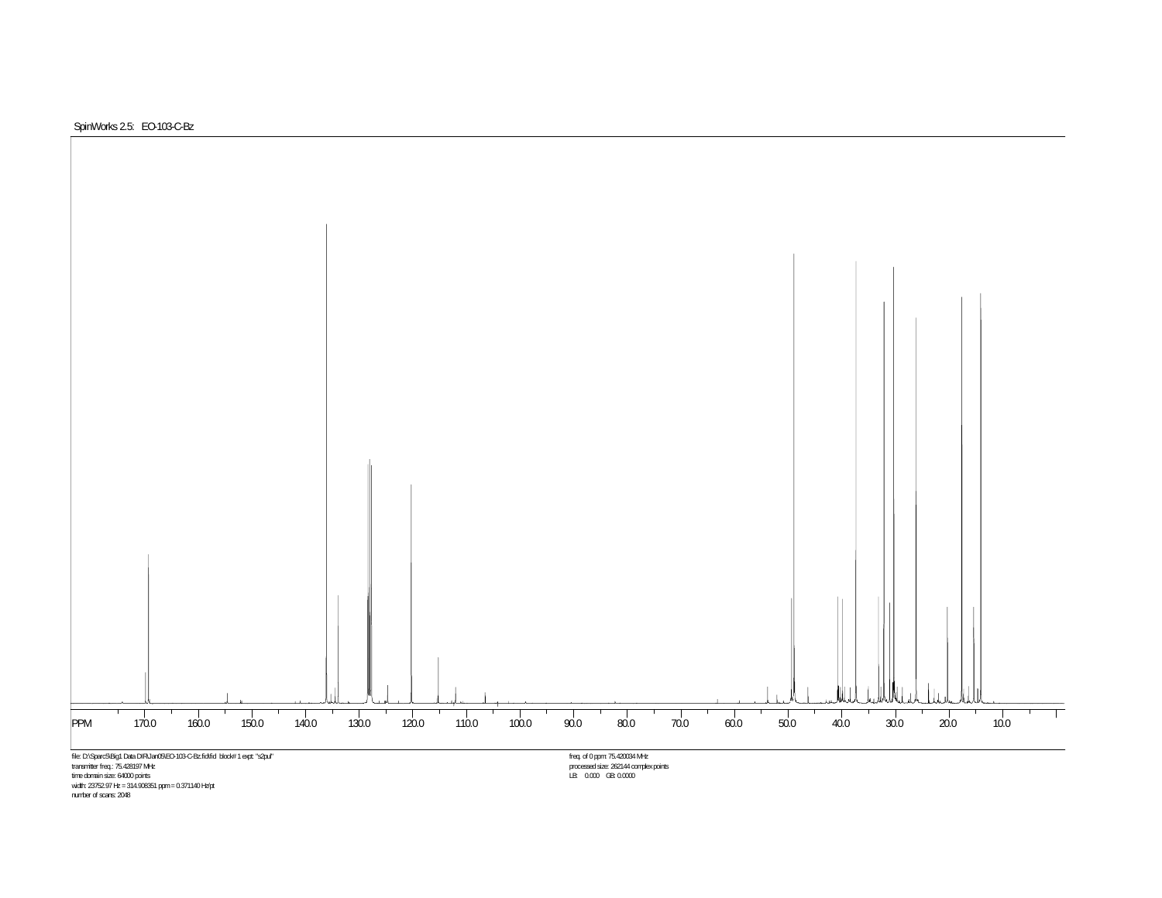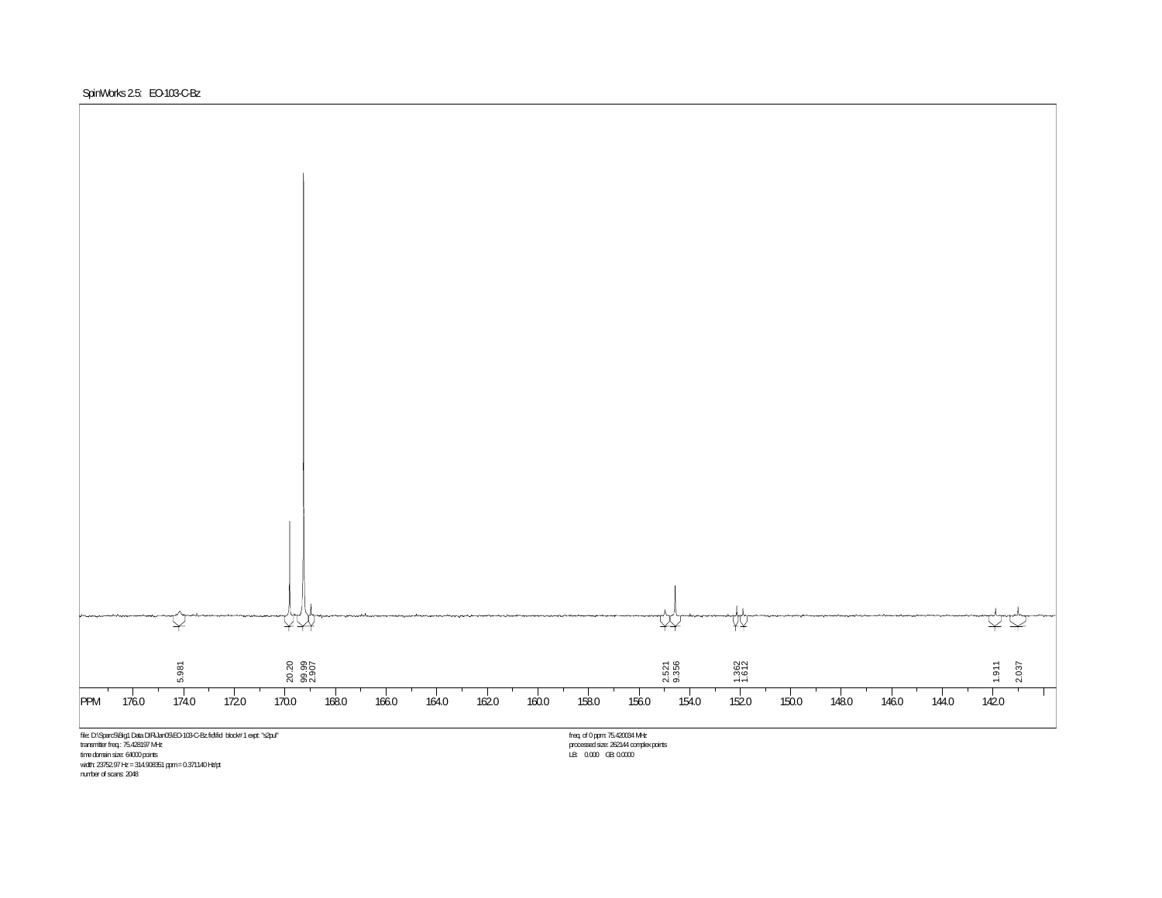

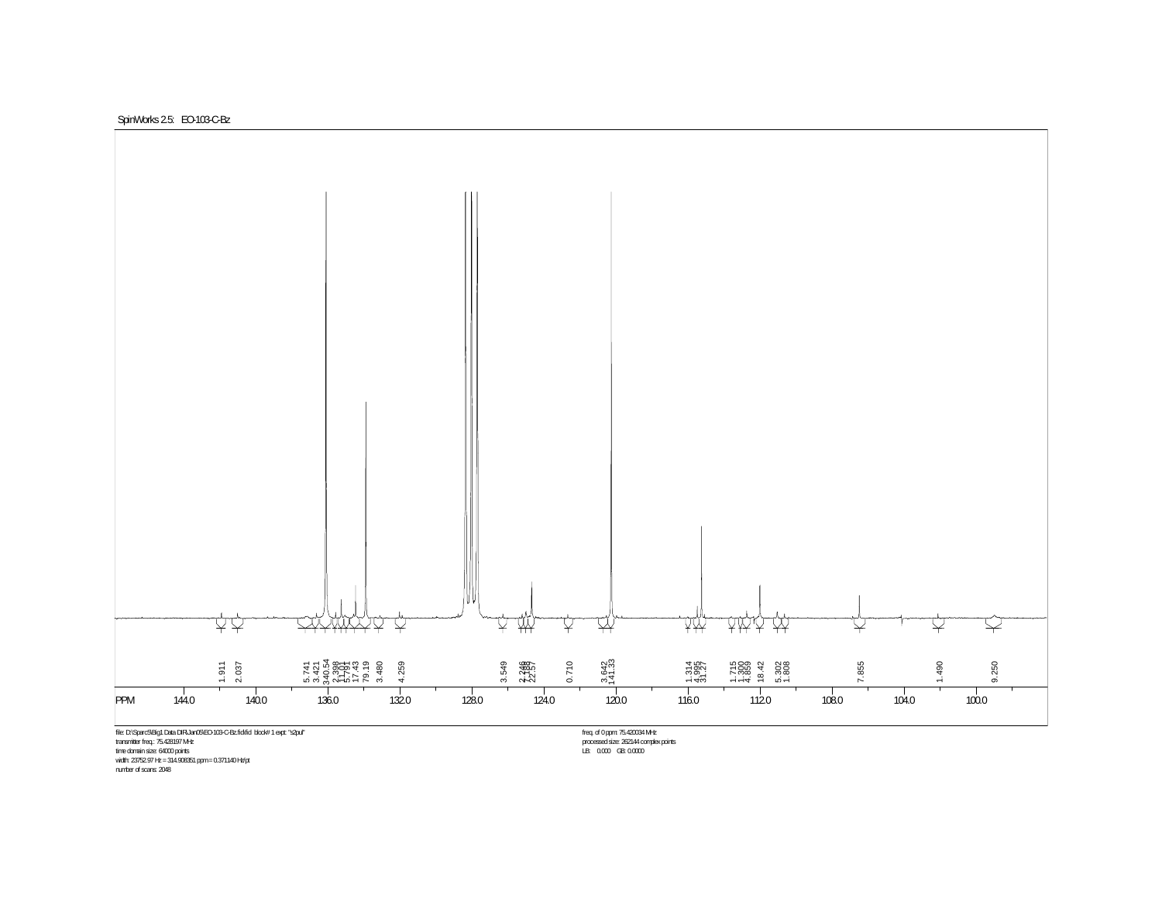SpinWorks 2.5: EO-103-C-Bz



time domain size: 64000 points<br>width: 23752.97 Hz = 314.908351 ppm = 0.371140 Hz/pt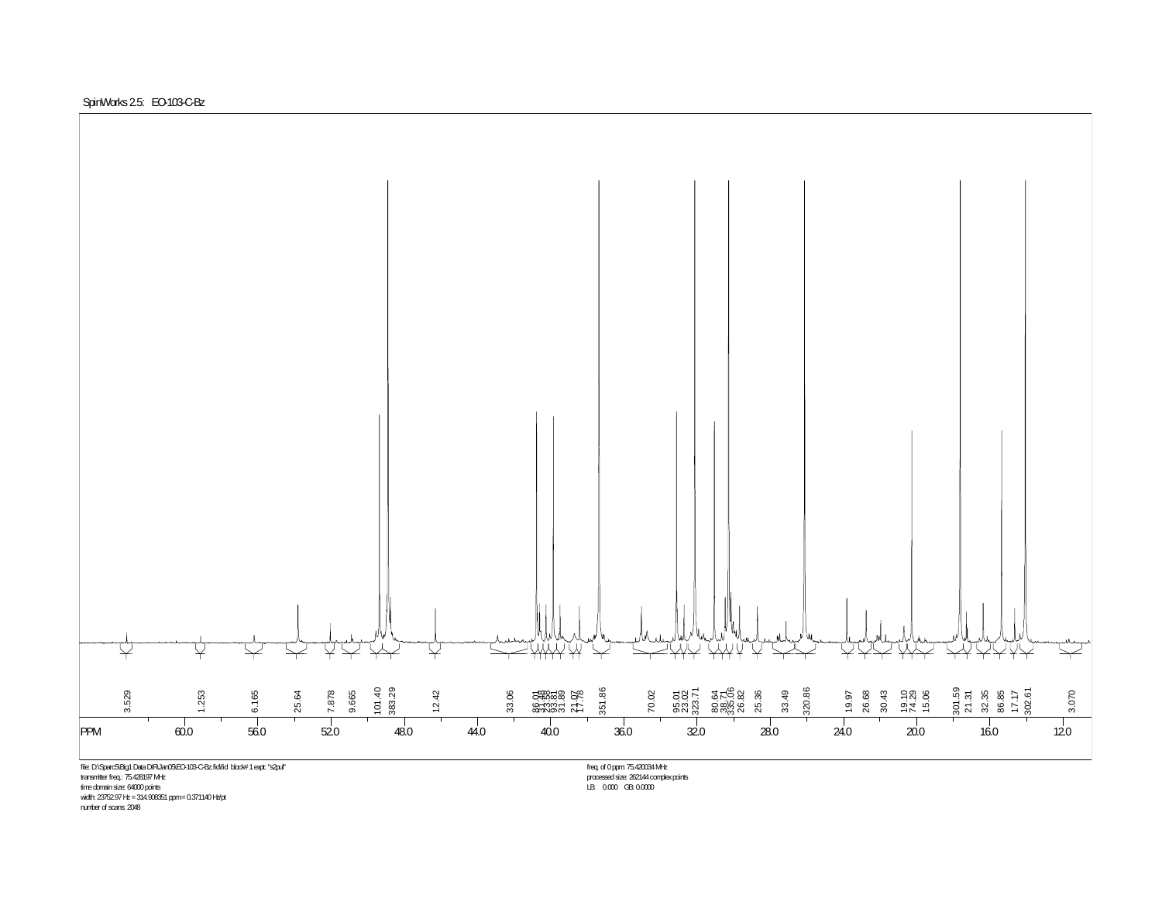



LB: 0.000 GB: 0.0000

time domain size: 64000 points width: 23752.97 Hz = 314.908351 ppm = 0.371140 Hz/pt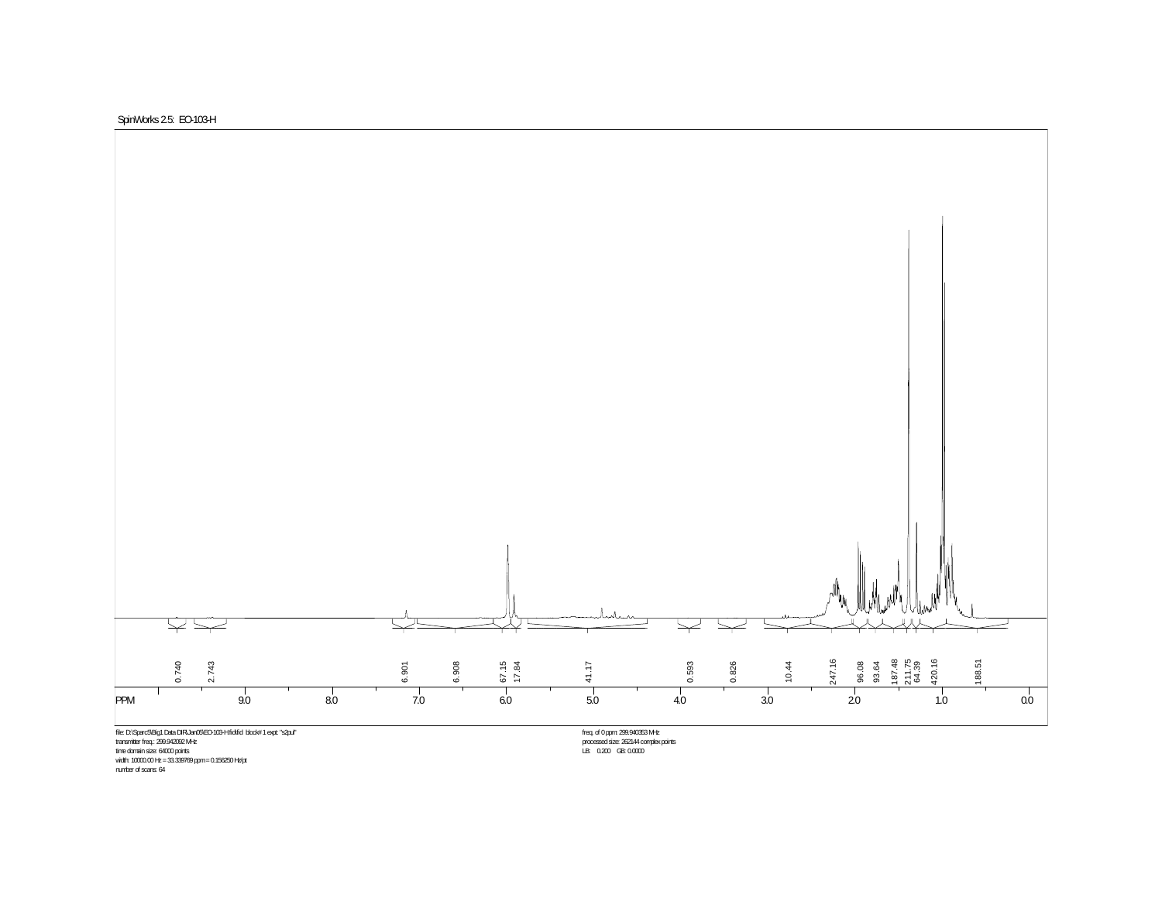



time domain size: 64000 points<br>width: 10000.00 Hz = 33.339769 ppm = 0.156250 Hz/pt

number of scans: 64

freq. of 0 ppm: 299.940353 MHz<br>processed size: 262144 complex.points<br>LB: 0.200 GB: 0.0000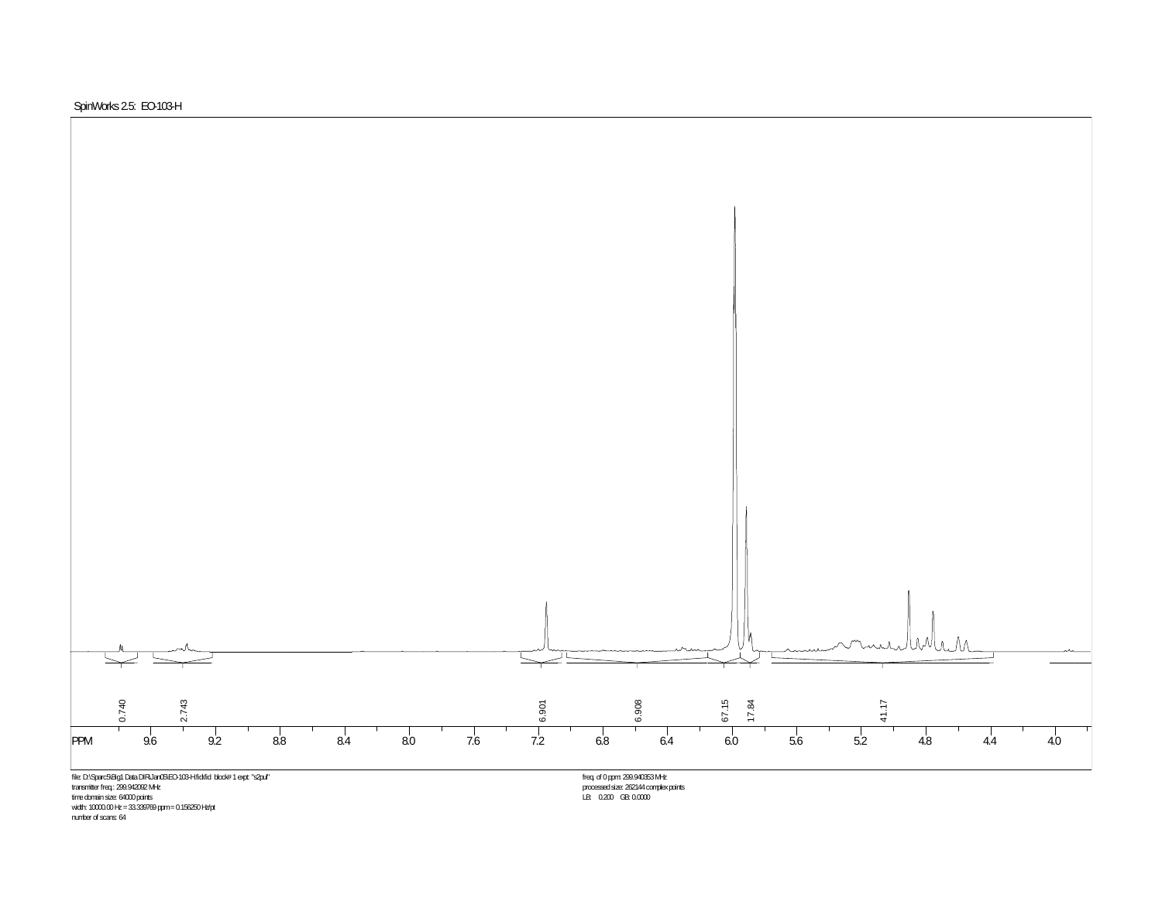

file: D:\Sparc5\Big1 Data DIR\Jan05\EO-103-H.fid\fid block# 1 expt: "s2pul" transmitter freq.: 299.942092 MHz time domain size: 64000 points width: 10000.00 Hz = 33.339769 ppm = 0.156250 Hz/pt

freq. of 0 ppm: 299.940353 MHz processed size: 262144 complex points LB: 0.200 GB: 0.0000